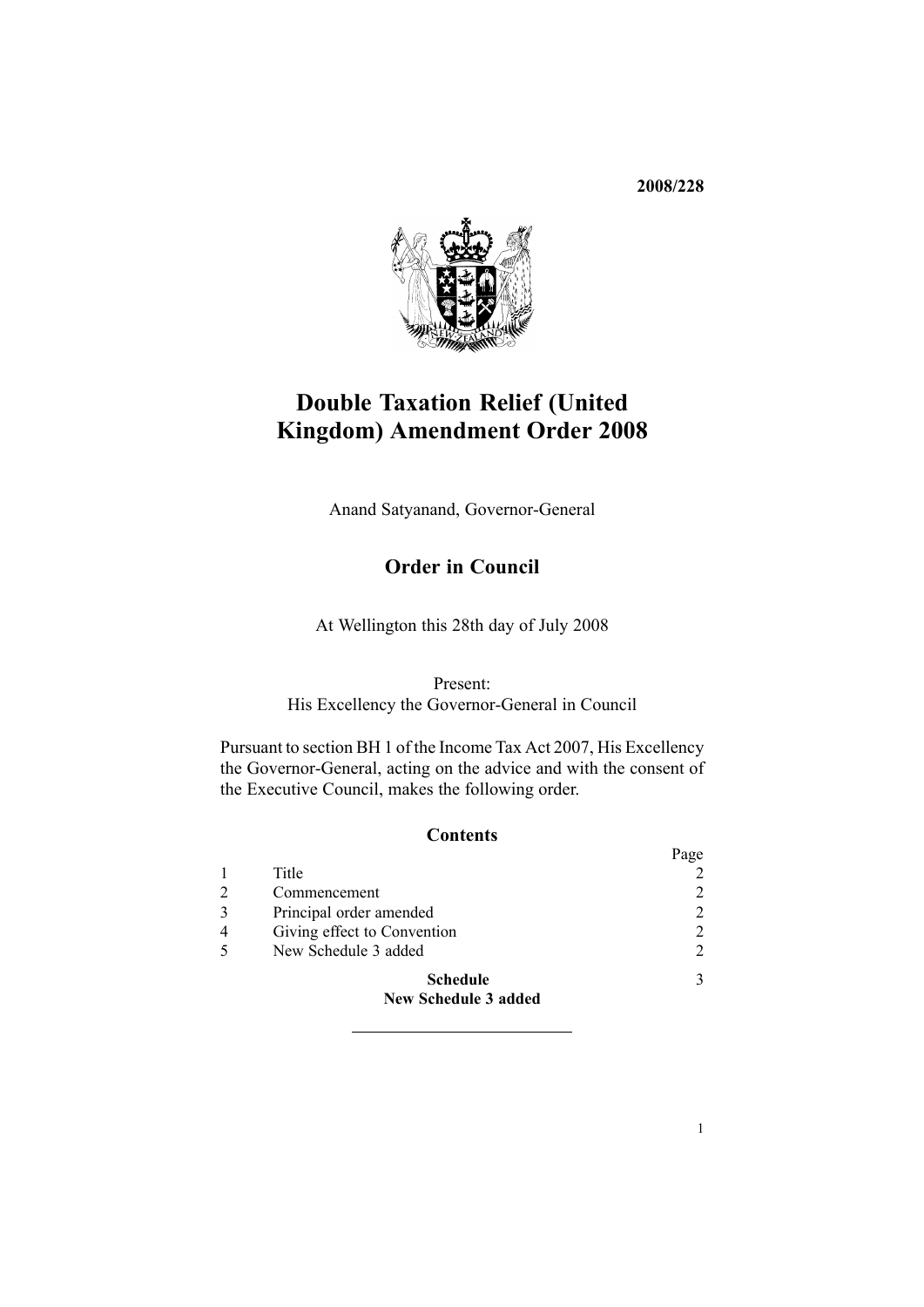**2008/228**



# **Double Taxation Relief (United Kingdom) Amendment Order 2008**

Anand Satyanand, Governor-General

# **Order in Council**

At Wellington this 28th day of July 2008

Present:

His Excellency the Governor-General in Council

Pursuant to section BH 1 of the Income Tax Act 2007, His Excellency the Governor-General, acting on the advice and with the consent of the Executive Council, makes the following order.

## **Contents**

|               |                             | Page |
|---------------|-----------------------------|------|
|               | Title                       |      |
| $\mathcal{D}$ | Commencement                |      |
|               | Principal order amended     |      |
| 4             | Giving effect to Convention |      |
|               | New Schedule 3 added        | 2    |
|               | <b>Schedule</b>             |      |
|               | <b>New Schedule 3 added</b> |      |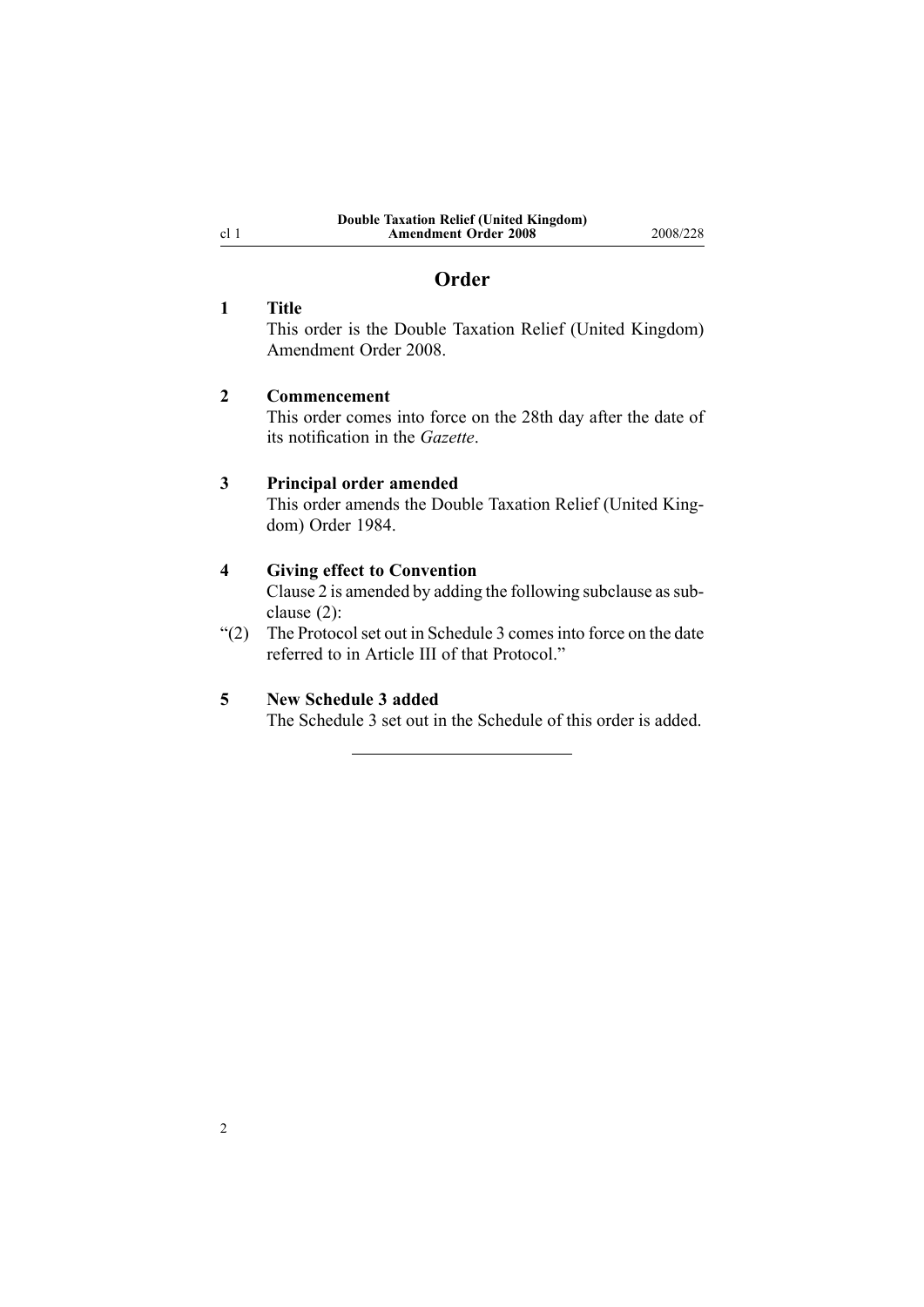# **Double Taxation Relief (United Kingdom) Amendment Order 2008** 2008/228

## **Order**

### <span id="page-1-0"></span>**1 Title**

This order is the Double Taxation Relief (United Kingdom) Amendment Order 2008.

#### **2 Commencement**

This order comes into force on the 28th day after the date of its notification in the *Gazette*.

#### **3 Principal order amended**

This order amends the Double Taxation Relief [\(United](http://www.legislation.govt.nz/pdfLink.aspx?id=DLM94688) King[dom\)](http://www.legislation.govt.nz/pdfLink.aspx?id=DLM94688) Order 1984.

## **4 Giving effect to Convention**

[Clause](http://www.legislation.govt.nz/pdfLink.aspx?id=DLM94693) 2 is amended by adding the following subclause as subclause (2):

"(2) The Protocol set out in Schedule 3 comes into force on the date referred to in Article III of that Protocol."

### **5 New Schedule 3 added**

The Schedule 3 set out in the [Schedule](#page-2-0) of this order is added.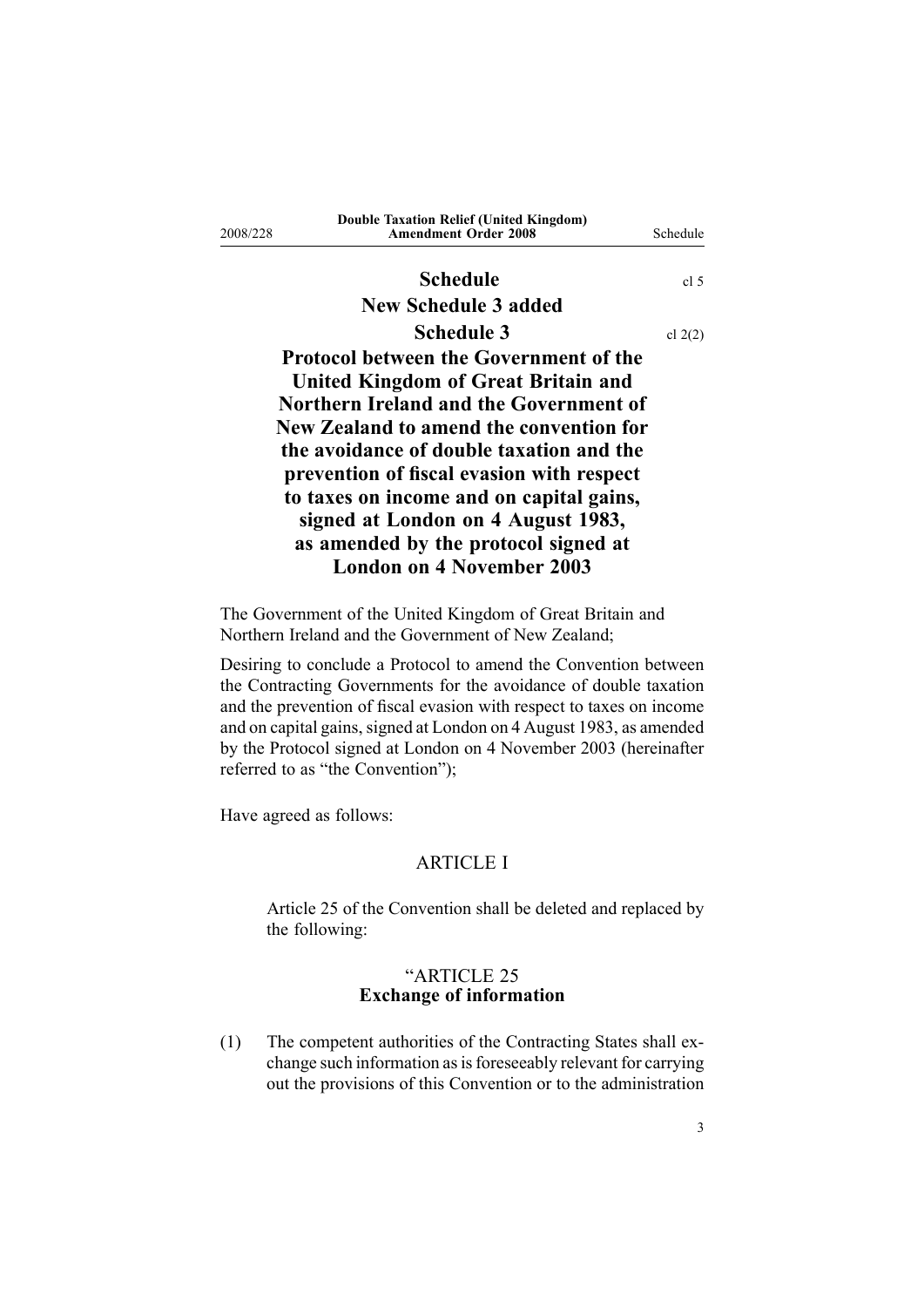<span id="page-2-0"></span>

| 2008/228 | Double Taxation Relief (United Kingdom)<br><b>Amendment Order 2008</b>                                                                                                                                                                                                                                                                                                                                                                  | Schedule  |
|----------|-----------------------------------------------------------------------------------------------------------------------------------------------------------------------------------------------------------------------------------------------------------------------------------------------------------------------------------------------------------------------------------------------------------------------------------------|-----------|
|          | <b>Schedule</b>                                                                                                                                                                                                                                                                                                                                                                                                                         | cl 5      |
|          | <b>New Schedule 3 added</b>                                                                                                                                                                                                                                                                                                                                                                                                             |           |
|          | <b>Schedule 3</b>                                                                                                                                                                                                                                                                                                                                                                                                                       | cl $2(2)$ |
|          | <b>Protocol between the Government of the</b><br>United Kingdom of Great Britain and<br><b>Northern Ireland and the Government of</b><br>New Zealand to amend the convention for<br>the avoidance of double taxation and the<br>prevention of fiscal evasion with respect<br>to taxes on income and on capital gains,<br>signed at London on 4 August 1983,<br>as amended by the protocol signed at<br><b>London on 4 November 2003</b> |           |

The Government of the United Kingdom of Great Britain and Northern Ireland and the Government of New Zealand;

Desiring to conclude <sup>a</sup> Protocol to amend the Convention between the Contracting Governments for the avoidance of double taxation and the prevention of fiscal evasion with respec<sup>t</sup> to taxes on income and on capital gains, signed at London on 4 August 1983, as amended by the Protocol signed at London on 4 November 2003 (hereinafter referred to as "the Convention");

Have agreed as follows:

## ARTICLE I

Article 25 of the Convention shall be deleted and replaced by the following:

## "ARTICLE 25 **Exchange of information**

(1) The competent authorities of the Contracting States shall exchange such information as is foreseeably relevant for carrying out the provisions of this Convention or to the administration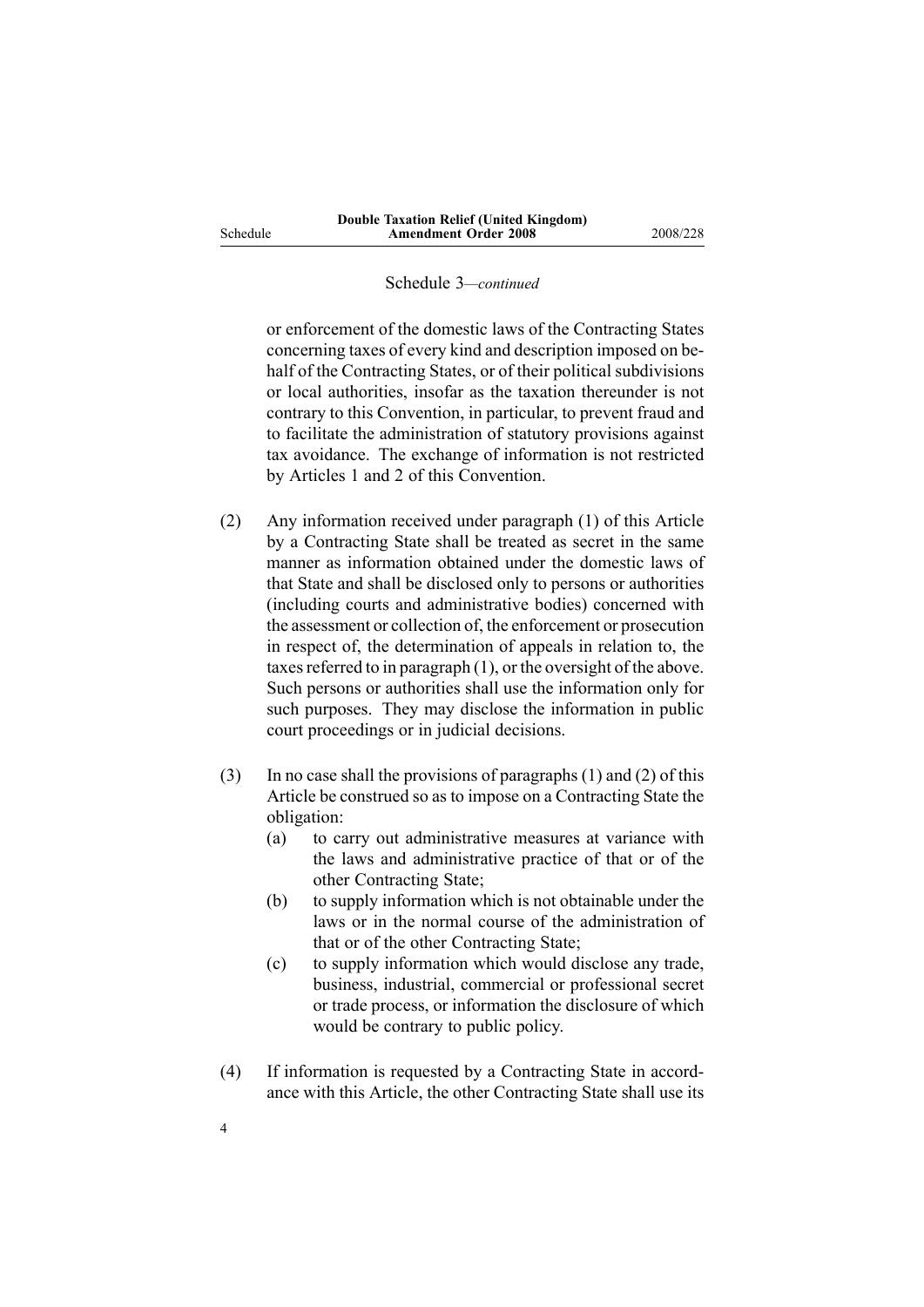or enforcement of the domestic laws of the Contracting States concerning taxes of every kind and description imposed on behalf of the Contracting States, or of their political subdivisions or local authorities, insofar as the taxation thereunder is not contrary to this Convention, in particular, to preven<sup>t</sup> fraud and to facilitate the administration of statutory provisions against tax avoidance. The exchange of information is not restricted by Articles 1 and 2 of this Convention.

- (2) Any information received under paragraph (1) of this Article by <sup>a</sup> Contracting State shall be treated as secret in the same manner as information obtained under the domestic laws of that State and shall be disclosed only to persons or authorities (including courts and administrative bodies) concerned with the assessment or collection of, the enforcement or prosecution in respec<sup>t</sup> of, the determination of appeals in relation to, the taxes referred to in paragraph  $(1)$ , or the oversight of the above. Such persons or authorities shall use the information only for such purposes. They may disclose the information in public court proceedings or in judicial decisions.
- (3) In no case shall the provisions of paragraphs (1) and (2) of this Article be construed so as to impose on <sup>a</sup> Contracting State the obligation:
	- (a) to carry out administrative measures at variance with the laws and administrative practice of that or of the other Contracting State;
	- (b) to supply information which is not obtainable under the laws or in the normal course of the administration of that or of the other Contracting State;
	- (c) to supply information which would disclose any trade, business, industrial, commercial or professional secret or trade process, or information the disclosure of which would be contrary to public policy.
- (4) If information is requested by <sup>a</sup> Contracting State in accordance with this Article, the other Contracting State shall use its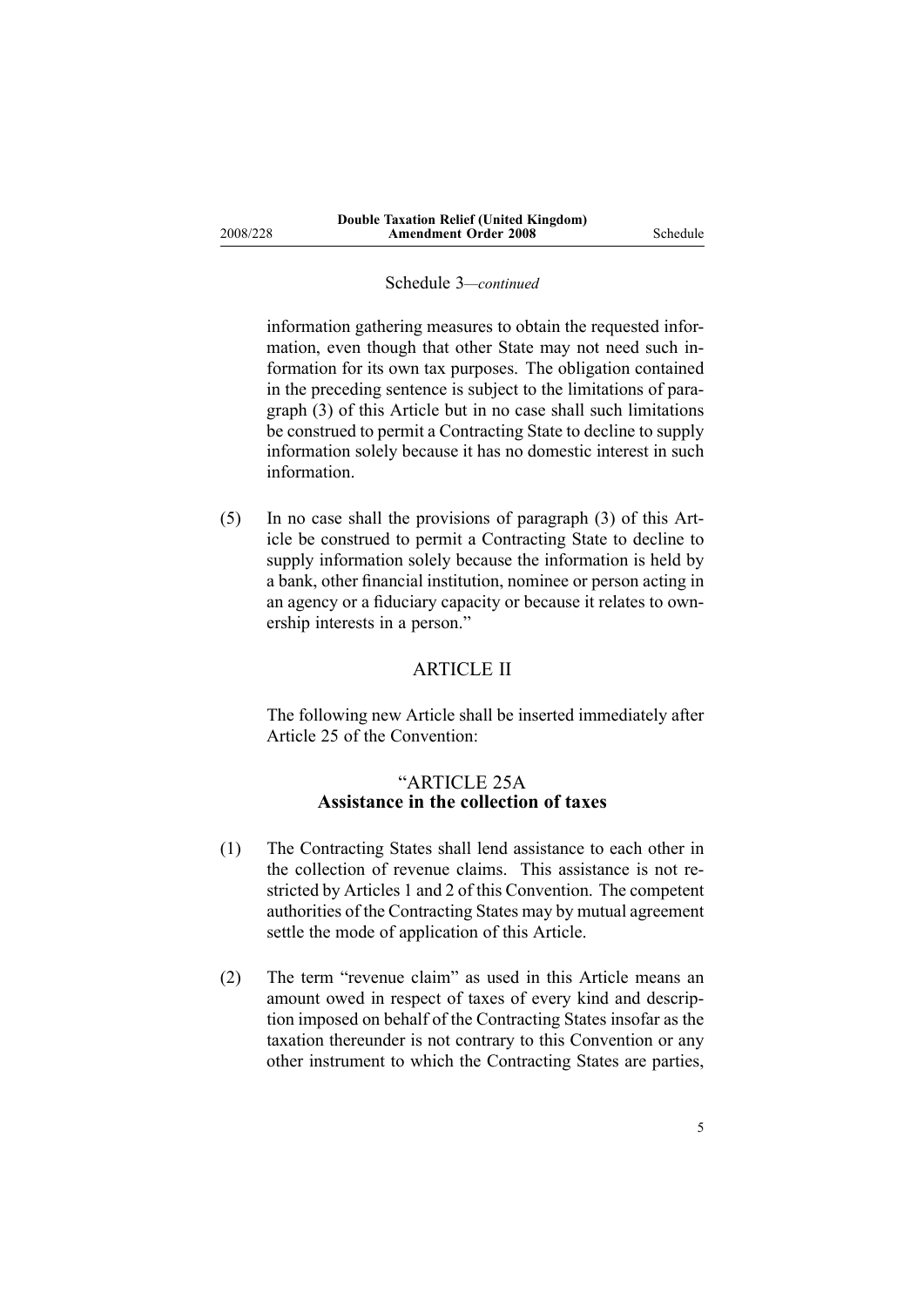information gathering measures to obtain the requested information, even though that other State may not need such information for its own tax purposes. The obligation contained in the preceding sentence is subject to the limitations of paragraph (3) of this Article but in no case shall such limitations be construed to permit <sup>a</sup> Contracting State to decline to supply information solely because it has no domestic interest in such information.

(5) In no case shall the provisions of paragraph (3) of this Article be construed to permit <sup>a</sup> Contracting State to decline to supply information solely because the information is held by <sup>a</sup> bank, other financial institution, nominee or person acting in an agency or <sup>a</sup> fiduciary capacity or because it relates to ownership interests in <sup>a</sup> person."

### ARTICLE II

The following new Article shall be inserted immediately after Article 25 of the Convention:

### "ARTICLE 25A **Assistance in the collection of taxes**

- (1) The Contracting States shall lend assistance to each other in the collection of revenue claims. This assistance is not restricted by Articles 1 and 2 of this Convention. The competent authorities of the Contracting States may by mutual agreemen<sup>t</sup> settle the mode of application of this Article.
- (2) The term "revenue claim" as used in this Article means an amount owed in respec<sup>t</sup> of taxes of every kind and description imposed on behalf of the Contracting States insofar as the taxation thereunder is not contrary to this Convention or any other instrument to which the Contracting States are parties,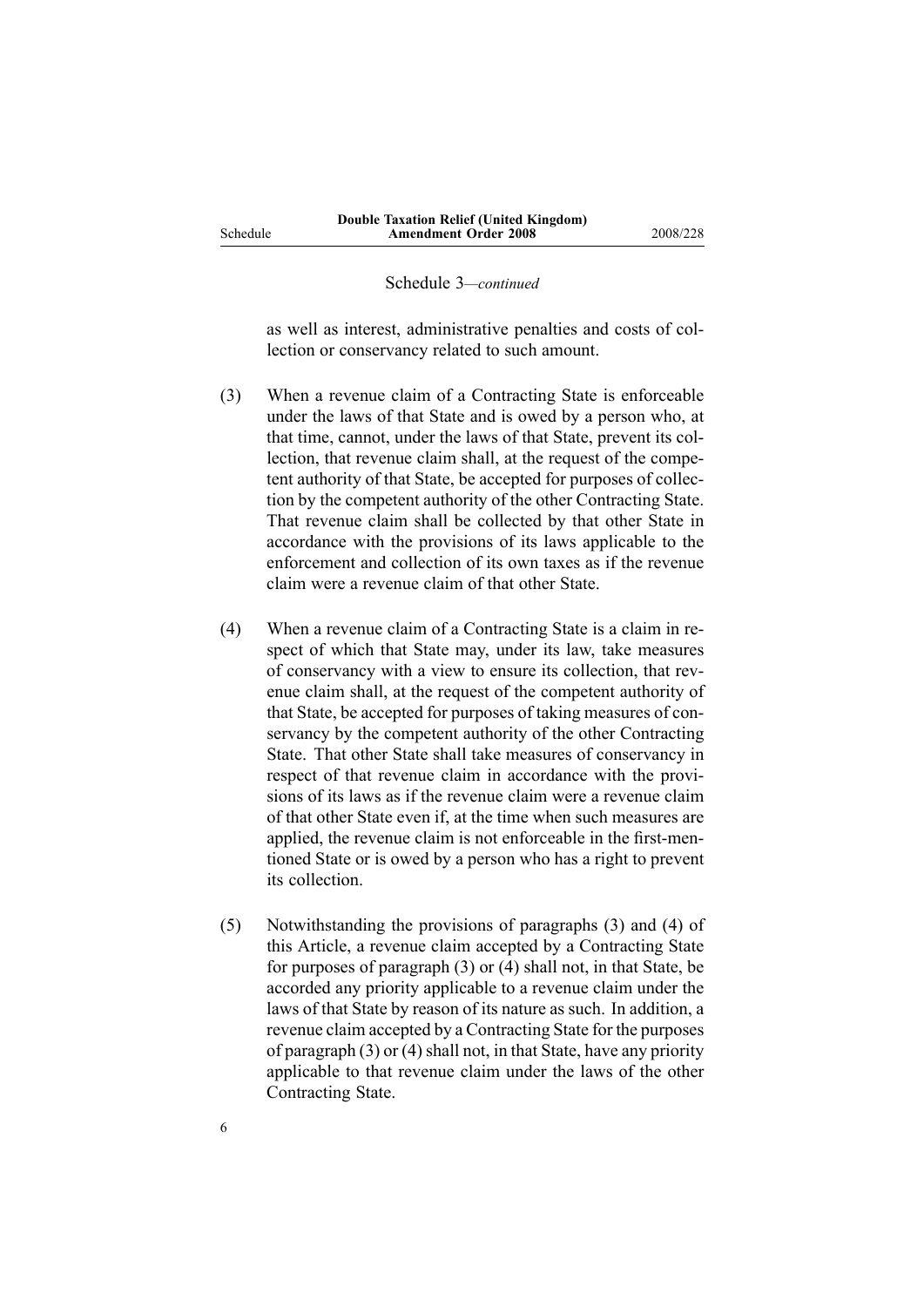Schedule

#### Schedule 3*—continued*

as well as interest, administrative penalties and costs of collection or conservancy related to such amount.

- (3) When <sup>a</sup> revenue claim of <sup>a</sup> Contracting State is enforceable under the laws of that State and is owed by <sup>a</sup> person who, at that time, cannot, under the laws of that State, preven<sup>t</sup> its collection, that revenue claim shall, at the reques<sup>t</sup> of the competent authority of that State, be accepted for purposes of collection by the competent authority of the other Contracting State. That revenue claim shall be collected by that other State in accordance with the provisions of its laws applicable to the enforcement and collection of its own taxes as if the revenue claim were <sup>a</sup> revenue claim of that other State.
- (4) When <sup>a</sup> revenue claim of <sup>a</sup> Contracting State is <sup>a</sup> claim in respec<sup>t</sup> of which that State may, under its law, take measures of conservancy with <sup>a</sup> view to ensure its collection, that revenue claim shall, at the reques<sup>t</sup> of the competent authority of that State, be accepted for purposes of taking measures of conservancy by the competent authority of the other Contracting State. That other State shall take measures of conservancy in respec<sup>t</sup> of that revenue claim in accordance with the provisions of its laws as if the revenue claim were <sup>a</sup> revenue claim of that other State even if, at the time when such measures are applied, the revenue claim is not enforceable in the first-mentioned State or is owed by <sup>a</sup> person who has <sup>a</sup> right to preven<sup>t</sup> its collection.
- (5) Notwithstanding the provisions of paragraphs (3) and (4) of this Article, <sup>a</sup> revenue claim accepted by <sup>a</sup> Contracting State for purposes of paragraph (3) or (4) shall not, in that State, be accorded any priority applicable to <sup>a</sup> revenue claim under the laws of that State by reason of its nature as such. In addition, <sup>a</sup> revenue claim accepted by <sup>a</sup> Contracting State for the purposes of paragraph  $(3)$  or  $(4)$  shall not, in that State, have any priority applicable to that revenue claim under the laws of the other Contracting State.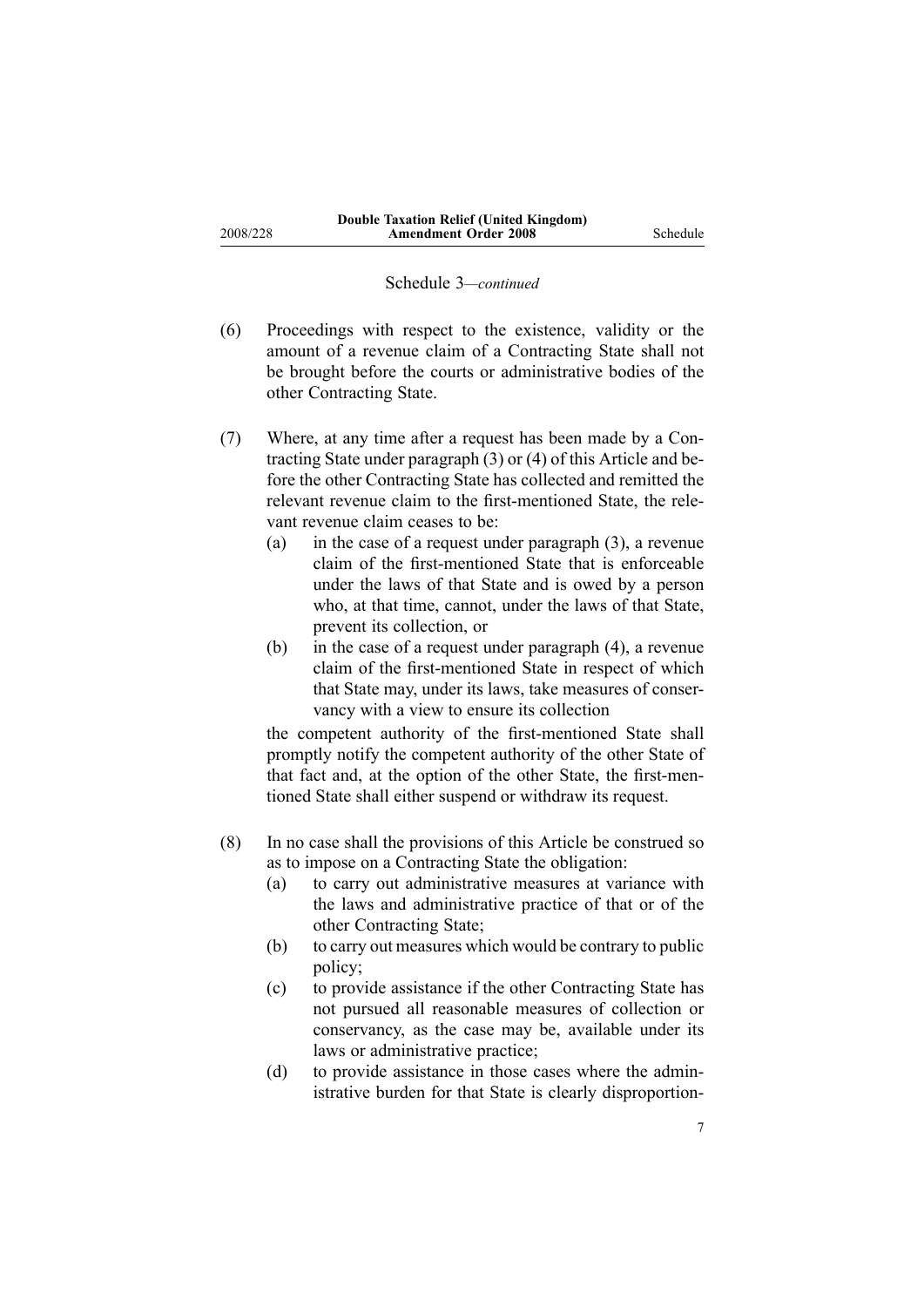- (6) Proceedings with respec<sup>t</sup> to the existence, validity or the amount of <sup>a</sup> revenue claim of <sup>a</sup> Contracting State shall not be brought before the courts or administrative bodies of the other Contracting State.
- (7) Where, at any time after <sup>a</sup> reques<sup>t</sup> has been made by <sup>a</sup> Contracting State under paragraph (3) or (4) of this Article and before the other Contracting State has collected and remitted the relevant revenue claim to the first-mentioned State, the relevant revenue claim ceases to be:
	- (a) in the case of <sup>a</sup> reques<sup>t</sup> under paragraph (3), <sup>a</sup> revenue claim of the first-mentioned State that is enforceable under the laws of that State and is owed by <sup>a</sup> person who, at that time, cannot, under the laws of that State, preven<sup>t</sup> its collection, or
	- (b) in the case of <sup>a</sup> reques<sup>t</sup> under paragraph (4), <sup>a</sup> revenue claim of the first-mentioned State in respect of which that State may, under its laws, take measures of conservancy with <sup>a</sup> view to ensure its collection

the competent authority of the first-mentioned State shall promptly notify the competent authority of the other State of that fact and, at the option of the other State, the first-mentioned State shall either suspend or withdraw its request.

- (8) In no case shall the provisions of this Article be construed so as to impose on <sup>a</sup> Contracting State the obligation:
	- (a) to carry out administrative measures at variance with the laws and administrative practice of that or of the other Contracting State;
	- (b) to carry out measures which would be contrary to public policy;
	- (c) to provide assistance if the other Contracting State has not pursued all reasonable measures of collection or conservancy, as the case may be, available under its laws or administrative practice;
	- (d) to provide assistance in those cases where the administrative burden for that State is clearly disproportion-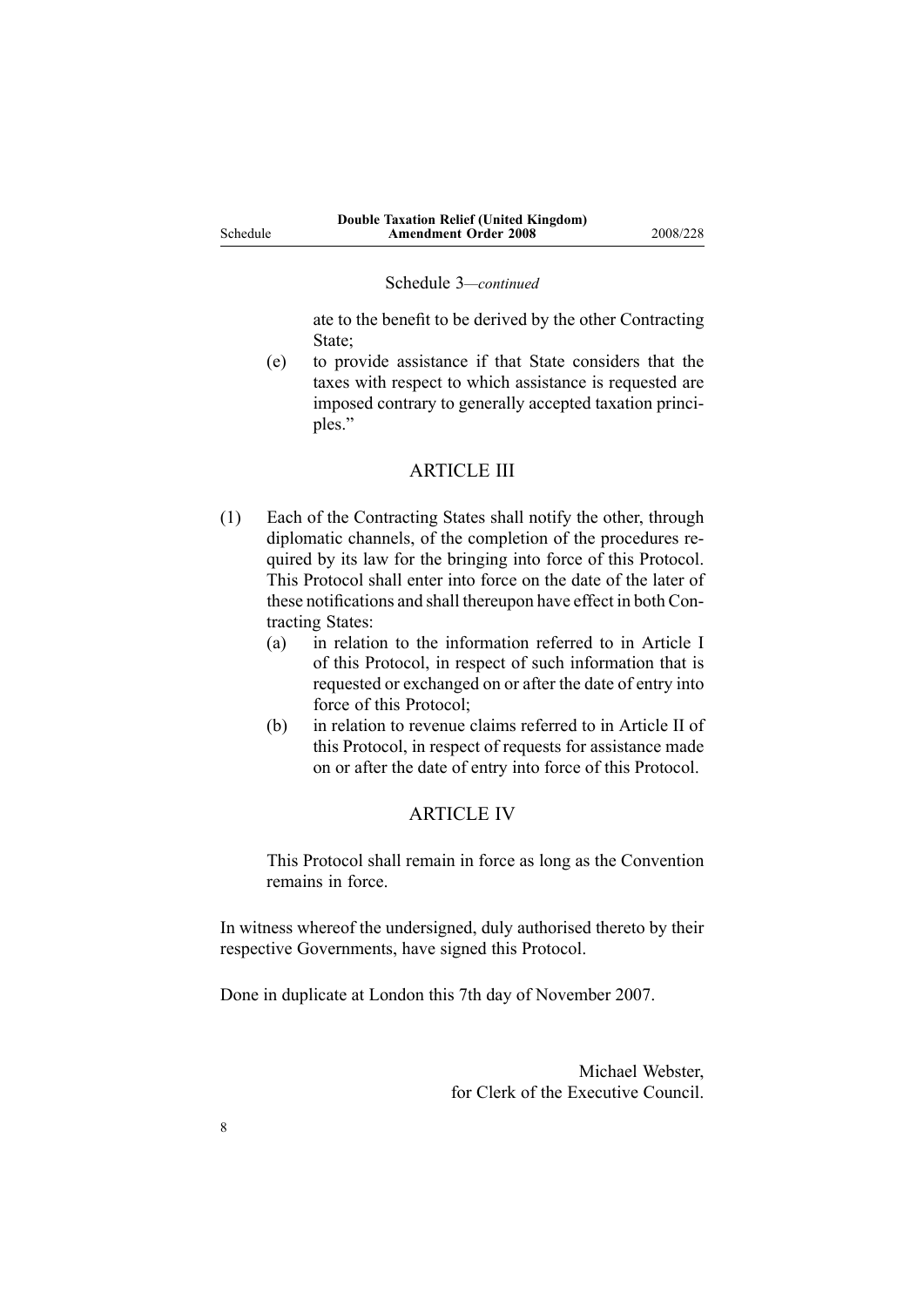ate to the benefit to be derived by the other Contracting State;

(e) to provide assistance if that State considers that the taxes with respec<sup>t</sup> to which assistance is requested are imposed contrary to generally accepted taxation principles."

## ARTICLE III

- (1) Each of the Contracting States shall notify the other, through diplomatic channels, of the completion of the procedures required by its law for the bringing into force of this Protocol. This Protocol shall enter into force on the date of the later of these notifications and shall thereupon have effect in both Contracting States:
	- (a) in relation to the information referred to in Article I of this Protocol, in respec<sup>t</sup> of such information that is requested or exchanged on or after the date of entry into force of this Protocol;
	- (b) in relation to revenue claims referred to in Article II of this Protocol, in respec<sup>t</sup> of requests for assistance made on or after the date of entry into force of this Protocol.

#### ARTICLE IV

This Protocol shall remain in force as long as the Convention remains in force.

In witness whereof the undersigned, duly authorised thereto by their respective Governments, have signed this Protocol.

Done in duplicate at London this 7th day of November 2007.

Michael Webster, for Clerk of the Executive Council.